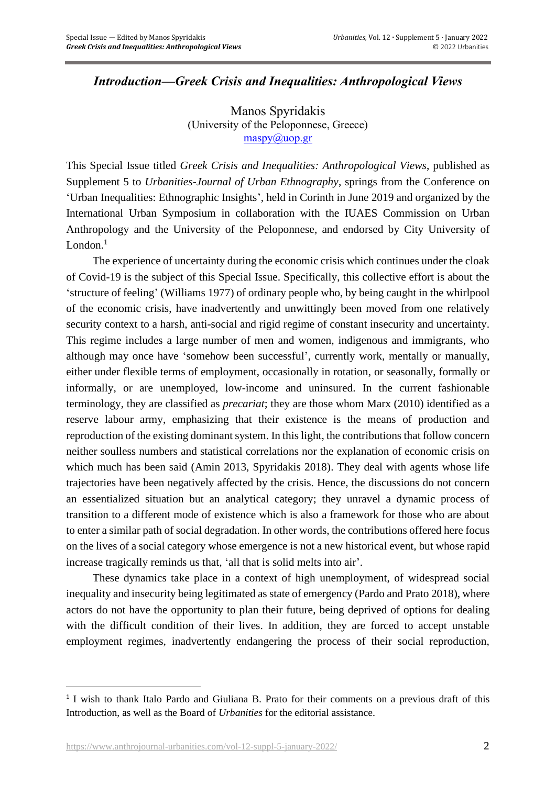## *Introduction—Greek Crisis and Inequalities: Anthropological Views*

Manos Spyridakis (University of the Peloponnese, Greece)  $m$ aspy $(a)$ uop.gr

This Special Issue titled *Greek Crisis and Inequalities: Anthropological Views*, published as Supplement 5 to *Urbanities-Journal of Urban Ethnography*, springs from the Conference on 'Urban Inequalities: Ethnographic Insights', held in Corinth in June 2019 and organized by the International Urban Symposium in collaboration with the IUAES Commission on Urban Anthropology and the University of the Peloponnese, and endorsed by City University of London.<sup>1</sup>

The experience of uncertainty during the economic crisis which continues under the cloak of Covid-19 is the subject of this Special Issue. Specifically, this collective effort is about the 'structure of feeling' (Williams 1977) of ordinary people who, by being caught in the whirlpool of the economic crisis, have inadvertently and unwittingly been moved from one relatively security context to a harsh, anti-social and rigid regime of constant insecurity and uncertainty. This regime includes a large number of men and women, indigenous and immigrants, who although may once have 'somehow been successful', currently work, mentally or manually, either under flexible terms of employment, occasionally in rotation, or seasonally, formally or informally, or are unemployed, low-income and uninsured. In the current fashionable terminology, they are classified as *precariat*; they are those whom Marx (2010) identified as a reserve labour army, emphasizing that their existence is the means of production and reproduction of the existing dominant system. In this light, the contributions that follow concern neither soulless numbers and statistical correlations nor the explanation of economic crisis on which much has been said (Amin 2013, Spyridakis 2018). They deal with agents whose life trajectories have been negatively affected by the crisis. Hence, the discussions do not concern an essentialized situation but an analytical category; they unravel a dynamic process of transition to a different mode of existence which is also a framework for those who are about to enter a similar path of social degradation. In other words, the contributions offered here focus on the lives of a social category whose emergence is not a new historical event, but whose rapid increase tragically reminds us that, 'all that is solid melts into air'.

These dynamics take place in a context of high unemployment, of widespread social inequality and insecurity being legitimated as state of emergency (Pardo and Prato 2018), where actors do not have the opportunity to plan their future, being deprived of options for dealing with the difficult condition of their lives. In addition, they are forced to accept unstable employment regimes, inadvertently endangering the process of their social reproduction,

<sup>&</sup>lt;sup>1</sup> I wish to thank Italo Pardo and Giuliana B. Prato for their comments on a previous draft of this Introduction, as well as the Board of *Urbanities* for the editorial assistance.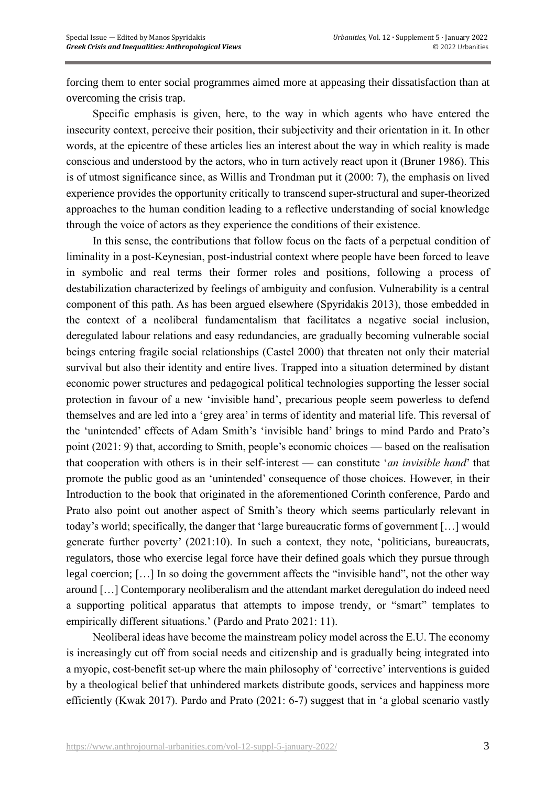forcing them to enter social programmes aimed more at appeasing their dissatisfaction than at overcoming the crisis trap.

Specific emphasis is given, here, to the way in which agents who have entered the insecurity context, perceive their position, their subjectivity and their orientation in it. In other words, at the epicentre of these articles lies an interest about the way in which reality is made conscious and understood by the actors, who in turn actively react upon it (Bruner 1986). This is of utmost significance since, as Willis and Trondman put it (2000: 7), the emphasis on lived experience provides the opportunity critically to transcend super-structural and super-theorized approaches to the human condition leading to a reflective understanding of social knowledge through the voice of actors as they experience the conditions of their existence.

In this sense, the contributions that follow focus on the facts of a perpetual condition of liminality in a post-Keynesian, post-industrial context where people have been forced to leave in symbolic and real terms their former roles and positions, following a process of destabilization characterized by feelings of ambiguity and confusion. Vulnerability is a central component of this path. As has been argued elsewhere (Spyridakis 2013), those embedded in the context of a neoliberal fundamentalism that facilitates a negative social inclusion, deregulated labour relations and easy redundancies, are gradually becoming vulnerable social beings entering fragile social relationships (Castel 2000) that threaten not only their material survival but also their identity and entire lives. Trapped into a situation determined by distant economic power structures and pedagogical political technologies supporting the lesser social protection in favour of a new 'invisible hand', precarious people seem powerless to defend themselves and are led into a 'grey area' in terms of identity and material life. This reversal of the 'unintended' effects of Adam Smith's 'invisible hand' brings to mind Pardo and Prato's point (2021: 9) that, according to Smith, people's economic choices — based on the realisation that cooperation with others is in their self-interest — can constitute '*an invisible hand*' that promote the public good as an 'unintended' consequence of those choices. However, in their Introduction to the book that originated in the aforementioned Corinth conference, Pardo and Prato also point out another aspect of Smith's theory which seems particularly relevant in today's world; specifically, the danger that 'large bureaucratic forms of government […] would generate further poverty' (2021:10). In such a context, they note, 'politicians, bureaucrats, regulators, those who exercise legal force have their defined goals which they pursue through legal coercion; […] In so doing the government affects the "invisible hand", not the other way around […] Contemporary neoliberalism and the attendant market deregulation do indeed need a supporting political apparatus that attempts to impose trendy, or "smart" templates to empirically different situations.' (Pardo and Prato 2021: 11).

Neoliberal ideas have become the mainstream policy model across the E.U. The economy is increasingly cut off from social needs and citizenship and is gradually being integrated into a myopic, cost-benefit set-up where the main philosophy of 'corrective' interventions is guided by a theological belief that unhindered markets distribute goods, services and happiness more efficiently (Kwak 2017). Pardo and Prato (2021: 6-7) suggest that in 'a global scenario vastly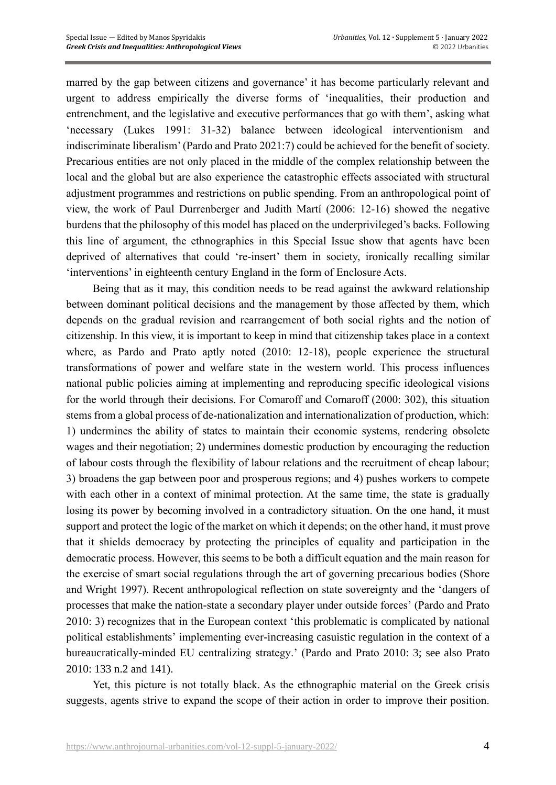marred by the gap between citizens and governance' it has become particularly relevant and urgent to address empirically the diverse forms of 'inequalities, their production and entrenchment, and the legislative and executive performances that go with them', asking what 'necessary (Lukes 1991: 31-32) balance between ideological interventionism and indiscriminate liberalism' (Pardo and Prato 2021:7) could be achieved for the benefit of society. Precarious entities are not only placed in the middle of the complex relationship between the local and the global but are also experience the catastrophic effects associated with structural adjustment programmes and restrictions on public spending. From an anthropological point of view, the work of Paul Durrenberger and Judith Martí (2006: 12-16) showed the negative burdens that the philosophy of this model has placed on the underprivileged's backs. Following this line of argument, the ethnographies in this Special Issue show that agents have been deprived of alternatives that could 're-insert' them in society, ironically recalling similar 'interventions' in eighteenth century England in the form of Enclosure Acts.

Being that as it may, this condition needs to be read against the awkward relationship between dominant political decisions and the management by those affected by them, which depends on the gradual revision and rearrangement of both social rights and the notion of citizenship. In this view, it is important to keep in mind that citizenship takes place in a context where, as Pardo and Prato aptly noted (2010: 12-18), people experience the structural transformations of power and welfare state in the western world. This process influences national public policies aiming at implementing and reproducing specific ideological visions for the world through their decisions. For Comaroff and Comaroff (2000: 302), this situation stems from a global process of de-nationalization and internationalization of production, which: 1) undermines the ability of states to maintain their economic systems, rendering obsolete wages and their negotiation; 2) undermines domestic production by encouraging the reduction of labour costs through the flexibility of labour relations and the recruitment of cheap labour; 3) broadens the gap between poor and prosperous regions; and 4) pushes workers to compete with each other in a context of minimal protection. At the same time, the state is gradually losing its power by becoming involved in a contradictory situation. On the one hand, it must support and protect the logic of the market on which it depends; on the other hand, it must prove that it shields democracy by protecting the principles of equality and participation in the democratic process. However, this seems to be both a difficult equation and the main reason for the exercise of smart social regulations through the art of governing precarious bodies (Shore and Wright 1997). Recent anthropological reflection on state sovereignty and the 'dangers of processes that make the nation-state a secondary player under outside forces' (Pardo and Prato 2010: 3) recognizes that in the European context 'this problematic is complicated by national political establishments' implementing ever-increasing casuistic regulation in the context of a bureaucratically-minded EU centralizing strategy.' (Pardo and Prato 2010: 3; see also Prato 2010: 133 n.2 and 141).

Yet, this picture is not totally black. As the ethnographic material on the Greek crisis suggests, agents strive to expand the scope of their action in order to improve their position.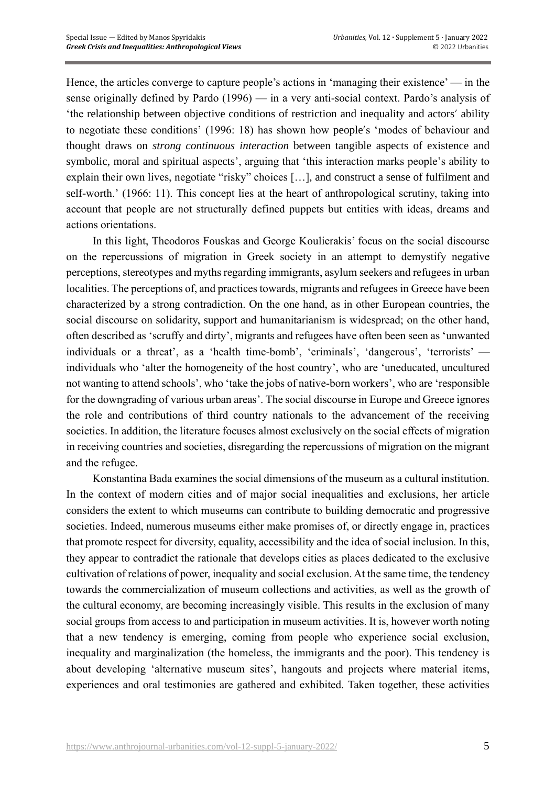Hence, the articles converge to capture people's actions in 'managing their existence' — in the sense originally defined by Pardo (1996) — in a very anti-social context. Pardo's analysis of 'the relationship between objective conditions of restriction and inequality and actors' ability to negotiate these conditions' (1996: 18) has shown how people's 'modes of behaviour and thought draws on *strong continuous interaction* between tangible aspects of existence and symbolic, moral and spiritual aspects', arguing that 'this interaction marks people's ability to explain their own lives, negotiate "risky" choices […], and construct a sense of fulfilment and self-worth.' (1966: 11). This concept lies at the heart of anthropological scrutiny, taking into account that people are not structurally defined puppets but entities with ideas, dreams and actions orientations.

In this light, Theodoros Fouskas and George Koulierakis' focus on the social discourse on the repercussions of migration in Greek society in an attempt to demystify negative perceptions, stereotypes and myths regarding immigrants, asylum seekers and refugees in urban localities. The perceptions of, and practices towards, migrants and refugees in Greece have been characterized by a strong contradiction. On the one hand, as in other European countries, the social discourse on solidarity, support and humanitarianism is widespread; on the other hand, often described as 'scruffy and dirty', migrants and refugees have often been seen as 'unwanted individuals or a threat', as a 'health time-bomb', 'criminals', 'dangerous', 'terrorists' individuals who 'alter the homogeneity of the host country', who are 'uneducated, uncultured not wanting to attend schools', who 'take the jobs of native-born workers', who are 'responsible for the downgrading of various urban areas'. The social discourse in Europe and Greece ignores the role and contributions of third country nationals to the advancement of the receiving societies. In addition, the literature focuses almost exclusively on the social effects of migration in receiving countries and societies, disregarding the repercussions of migration on the migrant and the refugee.

Konstantina Bada examines the social dimensions of the museum as a cultural institution. In the context of modern cities and of major social inequalities and exclusions, her article considers the extent to which museums can contribute to building democratic and progressive societies. Indeed, numerous museums either make promises of, or directly engage in, practices that promote respect for diversity, equality, accessibility and the idea of social inclusion. In this, they appear to contradict the rationale that develops cities as places dedicated to the exclusive cultivation of relations of power, inequality and social exclusion. At the same time, the tendency towards the commercialization of museum collections and activities, as well as the growth of the cultural economy, are becoming increasingly visible. This results in the exclusion of many social groups from access to and participation in museum activities. It is, however worth noting that a new tendency is emerging, coming from people who experience social exclusion, inequality and marginalization (the homeless, the immigrants and the poor). This tendency is about developing 'alternative museum sites', hangouts and projects where material items, experiences and oral testimonies are gathered and exhibited. Taken together, these activities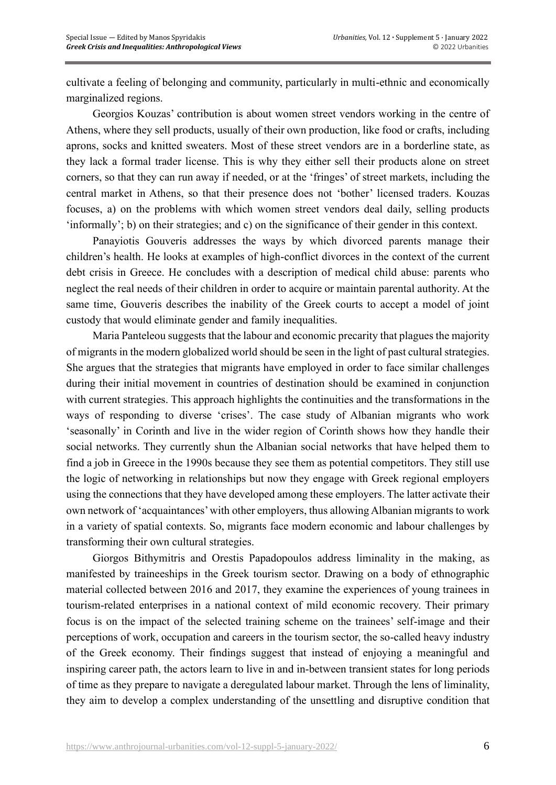cultivate a feeling of belonging and community, particularly in multi-ethnic and economically marginalized regions.

Georgios Kouzas' contribution is about women street vendors working in the centre of Athens, where they sell products, usually of their own production, like food or crafts, including aprons, socks and knitted sweaters. Most of these street vendors are in a borderline state, as they lack a formal trader license. This is why they either sell their products alone on street corners, so that they can run away if needed, or at the 'fringes' of street markets, including the central market in Athens, so that their presence does not 'bother' licensed traders. Kouzas focuses, a) on the problems with which women street vendors deal daily, selling products 'informally'; b) on their strategies; and c) on the significance of their gender in this context.

Panayiotis Gouveris addresses the ways by which divorced parents manage their children's health. He looks at examples of high-conflict divorces in the context of the current debt crisis in Greece. He concludes with a description of medical child abuse: parents who neglect the real needs of their children in order to acquire or maintain parental authority. At the same time, Gouveris describes the inability of the Greek courts to accept a model of joint custody that would eliminate gender and family inequalities.

Maria Panteleou suggests that the labour and economic precarity that plagues the majority of migrants in the modern globalized world should be seen in the light of past cultural strategies. She argues that the strategies that migrants have employed in order to face similar challenges during their initial movement in countries of destination should be examined in conjunction with current strategies. This approach highlights the continuities and the transformations in the ways of responding to diverse 'crises'. The case study of Albanian migrants who work 'seasonally' in Corinth and live in the wider region of Corinth shows how they handle their social networks. They currently shun the Albanian social networks that have helped them to find a job in Greece in the 1990s because they see them as potential competitors. They still use the logic of networking in relationships but now they engage with Greek regional employers using the connections that they have developed among these employers. The latter activate their own network of 'acquaintances' with other employers, thus allowing Albanian migrants to work in a variety of spatial contexts. So, migrants face modern economic and labour challenges by transforming their own cultural strategies.

Giorgos Bithymitris and Orestis Papadopoulos address liminality in the making, as manifested by traineeships in the Greek tourism sector. Drawing on a body of ethnographic material collected between 2016 and 2017, they examine the experiences of young trainees in tourism-related enterprises in a national context of mild economic recovery. Their primary focus is on the impact of the selected training scheme on the trainees' self-image and their perceptions of work, occupation and careers in the tourism sector, the so-called heavy industry of the Greek economy. Their findings suggest that instead of enjoying a meaningful and inspiring career path, the actors learn to live in and in-between transient states for long periods of time as they prepare to navigate a deregulated labour market. Through the lens of liminality, they aim to develop a complex understanding of the unsettling and disruptive condition that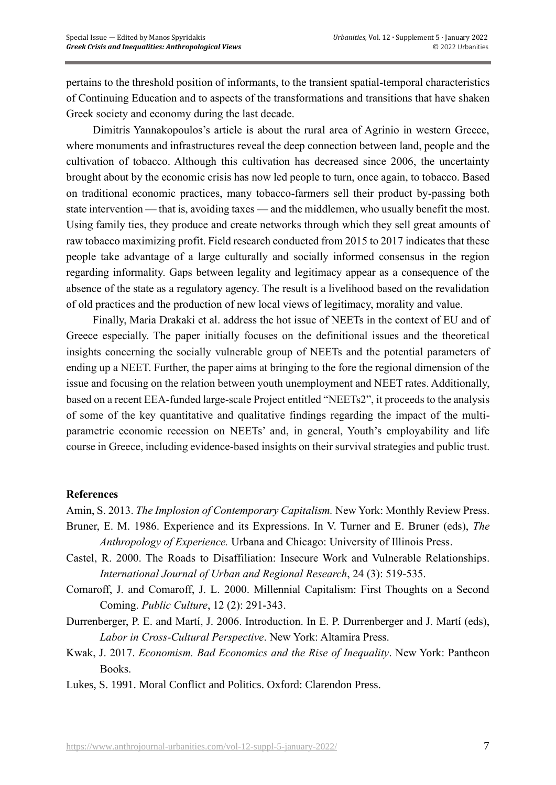pertains to the threshold position of informants, to the transient spatial-temporal characteristics of Continuing Education and to aspects of the transformations and transitions that have shaken Greek society and economy during the last decade.

Dimitris Yannakopoulos's article is about the rural area of Agrinio in western Greece, where monuments and infrastructures reveal the deep connection between land, people and the cultivation of tobacco. Although this cultivation has decreased since 2006, the uncertainty brought about by the economic crisis has now led people to turn, once again, to tobacco. Based on traditional economic practices, many tobacco-farmers sell their product by-passing both state intervention — that is, avoiding taxes — and the middlemen, who usually benefit the most. Using family ties, they produce and create networks through which they sell great amounts of raw tobacco maximizing profit. Field research conducted from 2015 to 2017 indicates that these people take advantage of a large culturally and socially informed consensus in the region regarding informality. Gaps between legality and legitimacy appear as a consequence of the absence of the state as a regulatory agency. The result is a livelihood based on the revalidation of old practices and the production of new local views of legitimacy, morality and value.

Finally, Maria Drakaki et al. address the hot issue of NEETs in the context of EU and of Greece especially. The paper initially focuses on the definitional issues and the theoretical insights concerning the socially vulnerable group of NEETs and the potential parameters of ending up a NEET. Further, the paper aims at bringing to the fore the regional dimension of the issue and focusing on the relation between youth unemployment and NEET rates. Additionally, based on a recent EEA-funded large-scale Project entitled "NEETs2", it proceeds to the analysis of some of the key quantitative and qualitative findings regarding the impact of the multiparametric economic recession on NEETs' and, in general, Youth's employability and life course in Greece, including evidence-based insights on their survival strategies and public trust.

## **References**

Amin, S. 2013. *The Implosion of Contemporary Capitalism.* New York: Monthly Review Press.

- Bruner, E. M. 1986. Experience and its Expressions. In V. Turner and E. Bruner (eds), *The Anthropology of Experience.* Urbana and Chicago: University of Illinois Press.
- Castel, R. 2000. The Roads to Disaffiliation: Insecure Work and Vulnerable Relationships. *International Journal of Urban and Regional Research*, 24 (3): 519-535.
- Comaroff, J. and Comaroff, J. L. 2000. Millennial Capitalism: First Thoughts on a Second Coming. *Public Culture*, 12 (2): 291-343.
- Durrenberger, P. E. and Martí, J. 2006. Introduction. In E. P. Durrenberger and J. Martí (eds), *Labor in Cross-Cultural Perspective*. New York: Altamira Press.
- Kwak, J. 2017. *Economism. Bad Economics and the Rise of Inequality*. New York: Pantheon Books.
- Lukes, S. 1991. Moral Conflict and Politics. Oxford: Clarendon Press.